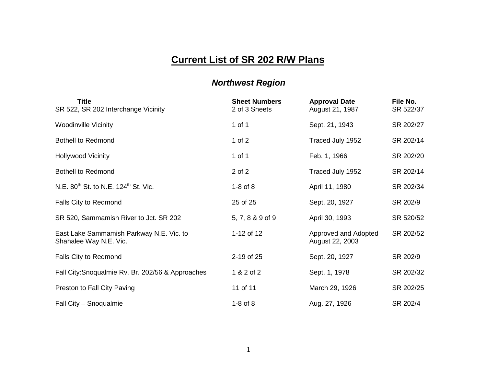## **Current List of SR 202 R/W Plans**

## *Northwest Region*

| <u>Title</u><br>SR 522, SR 202 Interchange Vicinity                | <b>Sheet Numbers</b><br>2 of 3 Sheets | <b>Approval Date</b><br>August 21, 1987 | File No.<br>SR 522/37 |
|--------------------------------------------------------------------|---------------------------------------|-----------------------------------------|-----------------------|
| <b>Woodinville Vicinity</b>                                        | 1 of 1                                | Sept. 21, 1943                          | SR 202/27             |
| <b>Bothell to Redmond</b>                                          | 1 of $2$                              | Traced July 1952                        | SR 202/14             |
| <b>Hollywood Vicinity</b>                                          | 1 of 1                                | Feb. 1, 1966                            | SR 202/20             |
| <b>Bothell to Redmond</b>                                          | 2 of 2                                | Traced July 1952                        | SR 202/14             |
| N.E. 80 <sup>th</sup> St. to N.E. 124 <sup>th</sup> St. Vic.       | $1-8$ of $8$                          | April 11, 1980                          | SR 202/34             |
| Falls City to Redmond                                              | 25 of 25                              | Sept. 20, 1927                          | SR 202/9              |
| SR 520, Sammamish River to Jct. SR 202                             | 5, 7, 8 & 9 of 9                      | April 30, 1993                          | SR 520/52             |
| East Lake Sammamish Parkway N.E. Vic. to<br>Shahalee Way N.E. Vic. | 1-12 of 12                            | Approved and Adopted<br>August 22, 2003 | SR 202/52             |
| <b>Falls City to Redmond</b>                                       | 2-19 of 25                            | Sept. 20, 1927                          | SR 202/9              |
| Fall City: Snoqualmie Rv. Br. 202/56 & Approaches                  | 1 & 2 of 2                            | Sept. 1, 1978                           | SR 202/32             |
| Preston to Fall City Paving                                        | 11 of 11                              | March 29, 1926                          | SR 202/25             |
| Fall City - Snoqualmie                                             | $1-8$ of $8$                          | Aug. 27, 1926                           | SR 202/4              |